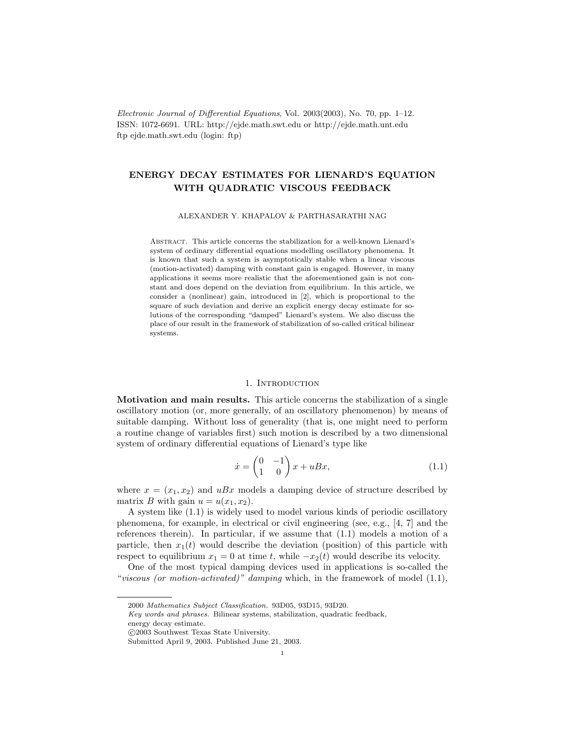Electronic Journal of Differential Equations, Vol. 2003(2003), No. 70, pp. 1–12. ISSN: 1072-6691. URL: http://ejde.math.swt.edu or http://ejde.math.unt.edu ftp ejde.math.swt.edu (login: ftp)

# ENERGY DECAY ESTIMATES FOR LIENARD'S EQUATION WITH QUADRATIC VISCOUS FEEDBACK

#### ALEXANDER Y. KHAPALOV & PARTHASARATHI NAG

Abstract. This article concerns the stabilization for a well-known Lienard's system of ordinary differential equations modelling oscillatory phenomena. It is known that such a system is asymptotically stable when a linear viscous (motion-activated) damping with constant gain is engaged. However, in many applications it seems more realistic that the aforementioned gain is not constant and does depend on the deviation from equilibrium. In this article, we consider a (nonlinear) gain, introduced in [2], which is proportional to the square of such deviation and derive an explicit energy decay estimate for solutions of the corresponding "damped" Lienard's system. We also discuss the place of our result in the framework of stabilization of so-called critical bilinear systems.

### 1. INTRODUCTION

Motivation and main results. This article concerns the stabilization of a single oscillatory motion (or, more generally, of an oscillatory phenomenon) by means of suitable damping. Without loss of generality (that is, one might need to perform a routine change of variables first) such motion is described by a two dimensional system of ordinary differential equations of Lienard's type like

$$
\dot{x} = \begin{pmatrix} 0 & -1 \\ 1 & 0 \end{pmatrix} x + uBx,\tag{1.1}
$$

where  $x = (x_1, x_2)$  and  $uBx$  models a damping device of structure described by matrix B with gain  $u = u(x_1, x_2)$ .

A system like (1.1) is widely used to model various kinds of periodic oscillatory phenomena, for example, in electrical or civil engineering (see, e.g., [4, 7] and the references therein). In particular, if we assume that (1.1) models a motion of a particle, then  $x_1(t)$  would describe the deviation (position) of this particle with respect to equilibrium  $x_1 = 0$  at time t, while  $-x_2(t)$  would describe its velocity.

One of the most typical damping devices used in applications is so-called the "viscous (or motion-activated)" damping which, in the framework of model  $(1.1)$ ,

energy decay estimate.

<sup>2000</sup> Mathematics Subject Classification. 93D05, 93D15, 93D20.

Key words and phrases. Bilinear systems, stabilization, quadratic feedback,

c 2003 Southwest Texas State University.

Submitted April 9, 2003. Published June 21, 2003.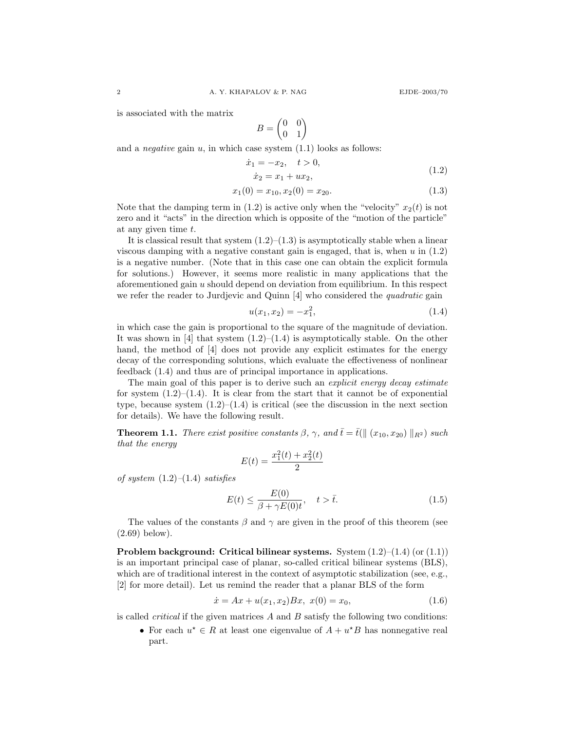is associated with the matrix

$$
B = \begin{pmatrix} 0 & 0 \\ 0 & 1 \end{pmatrix}
$$

and a *negative* gain  $u$ , in which case system  $(1.1)$  looks as follows:

$$
\begin{aligned}\n\dot{x}_1 &= -x_2, \quad t > 0, \\
\dot{x}_2 &= x_1 + ux_2,\n\end{aligned} \tag{1.2}
$$

$$
x_1(0) = x_{10}, x_2(0) = x_{20}.\tag{1.3}
$$

Note that the damping term in (1.2) is active only when the "velocity"  $x_2(t)$  is not zero and it "acts" in the direction which is opposite of the "motion of the particle" at any given time t.

It is classical result that system  $(1.2)$ – $(1.3)$  is asymptotically stable when a linear viscous damping with a negative constant gain is engaged, that is, when  $u$  in  $(1.2)$ is a negative number. (Note that in this case one can obtain the explicit formula for solutions.) However, it seems more realistic in many applications that the aforementioned gain u should depend on deviation from equilibrium. In this respect we refer the reader to Jurdjevic and Quinn [4] who considered the quadratic gain

$$
u(x_1, x_2) = -x_1^2, \t\t(1.4)
$$

in which case the gain is proportional to the square of the magnitude of deviation. It was shown in [4] that system  $(1.2)$ – $(1.4)$  is asymptotically stable. On the other hand, the method of [4] does not provide any explicit estimates for the energy decay of the corresponding solutions, which evaluate the effectiveness of nonlinear feedback (1.4) and thus are of principal importance in applications.

The main goal of this paper is to derive such an *explicit energy decay estimate* for system  $(1.2)$ – $(1.4)$ . It is clear from the start that it cannot be of exponential type, because system  $(1.2)$ – $(1.4)$  is critical (see the discussion in the next section for details). We have the following result.

**Theorem 1.1.** There exist positive constants  $\beta$ ,  $\gamma$ , and  $\bar{t} = \bar{t}(\parallel (x_{10}, x_{20}) \parallel_{R^2})$  such that the energy

$$
E(t) = \frac{x_1^2(t) + x_2^2(t)}{2}
$$

of system  $(1.2)$ – $(1.4)$  satisfies

$$
E(t) \le \frac{E(0)}{\beta + \gamma E(0)t}, \quad t > \bar{t}.\tag{1.5}
$$

The values of the constants  $\beta$  and  $\gamma$  are given in the proof of this theorem (see (2.69) below).

**Problem background: Critical bilinear systems.** System  $(1.2)$ – $(1.4)$  (or  $(1.1)$ ) is an important principal case of planar, so-called critical bilinear systems (BLS), which are of traditional interest in the context of asymptotic stabilization (see, e.g., [2] for more detail). Let us remind the reader that a planar BLS of the form

$$
\dot{x} = Ax + u(x_1, x_2)Bx, \ x(0) = x_0,\tag{1.6}
$$

is called *critical* if the given matrices  $A$  and  $B$  satisfy the following two conditions:

• For each  $u^* \in R$  at least one eigenvalue of  $A + u^*B$  has nonnegative real part.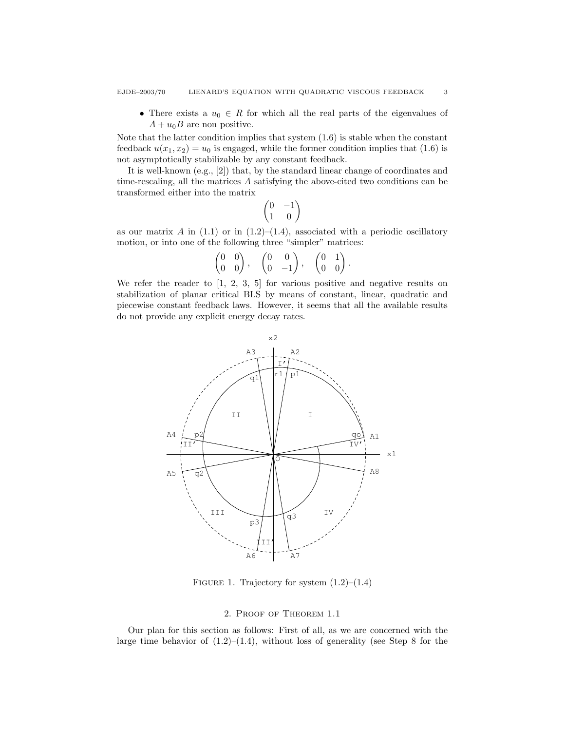• There exists a  $u_0 \in R$  for which all the real parts of the eigenvalues of  $A + u_0B$  are non positive.

Note that the latter condition implies that system (1.6) is stable when the constant feedback  $u(x_1, x_2) = u_0$  is engaged, while the former condition implies that (1.6) is not asymptotically stabilizable by any constant feedback.

It is well-known (e.g., [2]) that, by the standard linear change of coordinates and time-rescaling, all the matrices A satisfying the above-cited two conditions can be transformed either into the matrix

$$
\begin{pmatrix} 0 & -1 \\ 1 & 0 \end{pmatrix}
$$

as our matrix A in  $(1.1)$  or in  $(1.2)$ – $(1.4)$ , associated with a periodic oscillatory motion, or into one of the following three "simpler" matrices:

$$
\begin{pmatrix} 0 & 0 \\ 0 & 0 \end{pmatrix}, \quad \begin{pmatrix} 0 & 0 \\ 0 & -1 \end{pmatrix}, \quad \begin{pmatrix} 0 & 1 \\ 0 & 0 \end{pmatrix}.
$$

We refer the reader to [1, 2, 3, 5] for various positive and negative results on stabilization of planar critical BLS by means of constant, linear, quadratic and piecewise constant feedback laws. However, it seems that all the available results do not provide any explicit energy decay rates.



FIGURE 1. Trajectory for system  $(1.2)$ – $(1.4)$ 

## 2. Proof of Theorem 1.1

Our plan for this section as follows: First of all, as we are concerned with the large time behavior of  $(1.2)$ – $(1.4)$ , without loss of generality (see Step 8 for the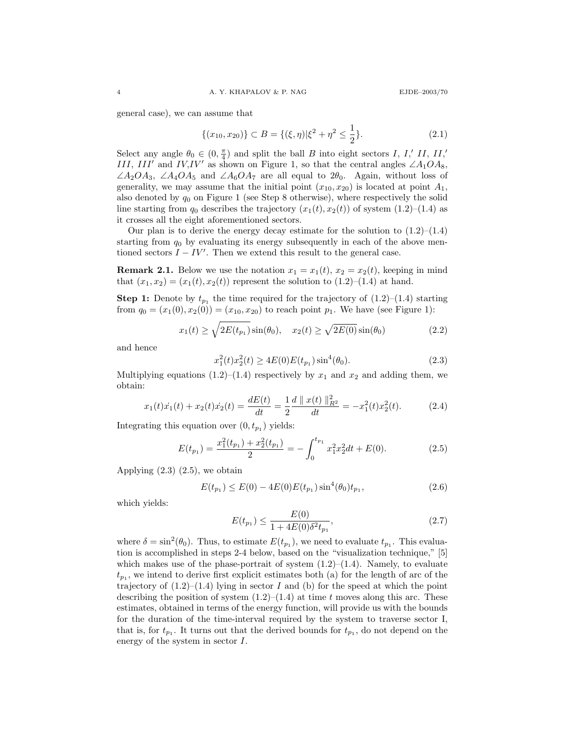general case), we can assume that

$$
\{(x_{10}, x_{20})\} \subset B = \{(\xi, \eta)|\xi^2 + \eta^2 \le \frac{1}{2}\}.
$$
\n(2.1)

Select any angle  $\theta_0 \in (0, \frac{\pi}{4})$  and split the ball B into eight sectors I, I,' II, II,' III, III' and IV,IV' as shown on Figure 1, so that the central angles  $\angle A_1OA_8$ ,  $\angle A_2OA_3$ ,  $\angle A_4OA_5$  and  $\angle A_6OA_7$  are all equal to  $2\theta_0$ . Again, without loss of generality, we may assume that the initial point  $(x_{10}, x_{20})$  is located at point  $A_1$ , also denoted by  $q_0$  on Figure 1 (see Step 8 otherwise), where respectively the solid line starting from  $q_0$  describes the trajectory  $(x_1(t), x_2(t))$  of system  $(1.2)$ – $(1.4)$  as it crosses all the eight aforementioned sectors.

Our plan is to derive the energy decay estimate for the solution to  $(1.2)$ – $(1.4)$ starting from  $q_0$  by evaluating its energy subsequently in each of the above mentioned sectors  $I - IV'$ . Then we extend this result to the general case.

**Remark 2.1.** Below we use the notation  $x_1 = x_1(t)$ ,  $x_2 = x_2(t)$ , keeping in mind that  $(x_1, x_2) = (x_1(t), x_2(t))$  represent the solution to  $(1.2)$ – $(1.4)$  at hand.

**Step 1:** Denote by  $t_{p_1}$  the time required for the trajectory of  $(1.2)$ – $(1.4)$  starting from  $q_0 = (x_1(0), x_2(0)) = (x_{10}, x_{20})$  to reach point  $p_1$ . We have (see Figure 1):

$$
x_1(t) \ge \sqrt{2E(t_{p_1})} \sin(\theta_0), \quad x_2(t) \ge \sqrt{2E(0)} \sin(\theta_0)
$$
 (2.2)

and hence

$$
x_1^2(t)x_2^2(t) \ge 4E(0)E(t_{p_1})\sin^4(\theta_0). \tag{2.3}
$$

Multiplying equations  $(1.2)$ – $(1.4)$  respectively by  $x_1$  and  $x_2$  and adding them, we obtain:

$$
x_1(t)\dot{x_1}(t) + x_2(t)\dot{x_2}(t) = \frac{dE(t)}{dt} = \frac{1}{2}\frac{d\parallel x(t)\parallel_{R^2}^2}{dt} = -x_1^2(t)x_2^2(t). \tag{2.4}
$$

Integrating this equation over  $(0, t_{p_1})$  yields:

$$
E(t_{p_1}) = \frac{x_1^2(t_{p_1}) + x_2^2(t_{p_1})}{2} = -\int_0^{t_{p_1}} x_1^2 x_2^2 dt + E(0).
$$
 (2.5)

Applying  $(2.3)$   $(2.5)$ , we obtain

$$
E(t_{p_1}) \le E(0) - 4E(0)E(t_{p_1})\sin^4(\theta_0)t_{p_1},
$$
\n(2.6)

which yields:

$$
E(t_{p_1}) \le \frac{E(0)}{1 + 4E(0)\delta^2 t_{p_1}},\tag{2.7}
$$

where  $\delta = \sin^2(\theta_0)$ . Thus, to estimate  $E(t_{p_1})$ , we need to evaluate  $t_{p_1}$ . This evaluation is accomplished in steps 2-4 below, based on the "visualization technique," [5] which makes use of the phase-portrait of system  $(1.2)$ – $(1.4)$ . Namely, to evaluate  $t_{p_1}$ , we intend to derive first explicit estimates both (a) for the length of arc of the trajectory of  $(1.2)$ – $(1.4)$  lying in sector I and (b) for the speed at which the point describing the position of system  $(1.2)$ – $(1.4)$  at time t moves along this arc. These estimates, obtained in terms of the energy function, will provide us with the bounds for the duration of the time-interval required by the system to traverse sector I, that is, for  $t_{p_1}$ . It turns out that the derived bounds for  $t_{p_1}$ , do not depend on the energy of the system in sector I.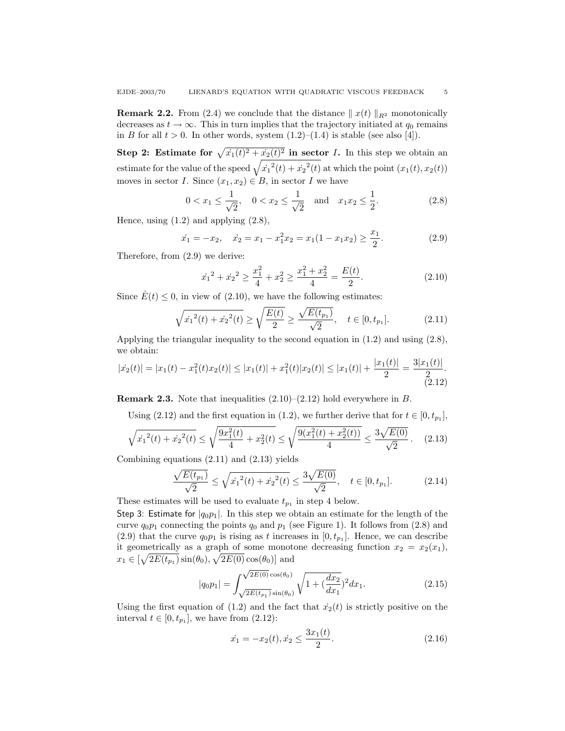**Remark 2.2.** From (2.4) we conclude that the distance  $||x(t)||_{R^2}$  monotonically decreases as  $t \to \infty$ . This in turn implies that the trajectory initiated at  $q_0$  remains in B for all  $t > 0$ . In other words, system  $(1.2)$ – $(1.4)$  is stable (see also [4]).

Step 2: Estimate for  $\sqrt{\dot{x}_1(t)^2 + \dot{x}_2(t)^2}$  in sector *I*. In this step we obtain an estimate for the value of the speed  $\sqrt{\dot{x}_1^2(t) + \dot{x}_2^2(t)}$  at which the point  $(x_1(t), x_2(t))$ moves in sector I. Since  $(x_1, x_2) \in B$ , in sector I we have

$$
0 < x_1 \le \frac{1}{\sqrt{2}}, \quad 0 < x_2 \le \frac{1}{\sqrt{2}} \quad \text{and} \quad x_1 x_2 \le \frac{1}{2}.
$$
 (2.8)

Hence, using  $(1.2)$  and applying  $(2.8)$ ,

$$
\dot{x}_1 = -x_2, \quad \dot{x}_2 = x_1 - x_1^2 x_2 = x_1 (1 - x_1 x_2) \ge \frac{x_1}{2}.
$$
\n(2.9)

Therefore, from (2.9) we derive:

$$
\dot{x_1}^2 + \dot{x_2}^2 \ge \frac{x_1^2}{4} + x_2^2 \ge \frac{x_1^2 + x_2^2}{4} = \frac{E(t)}{2}.
$$
 (2.10)

Since  $\dot{E}(t) \leq 0$ , in view of (2.10), we have the following estimates:

$$
\sqrt{\dot{x}_1^2(t) + \dot{x}_2^2(t)} \ge \sqrt{\frac{E(t)}{2}} \ge \frac{\sqrt{E(t_{p_1})}}{\sqrt{2}}, \quad t \in [0, t_{p_1}].
$$
\n(2.11)

Applying the triangular inequality to the second equation in  $(1.2)$  and using  $(2.8)$ , we obtain:  $x_1(x)$ 

$$
|x_2(t)| = |x_1(t) - x_1^2(t)x_2(t)| \le |x_1(t)| + x_1^2(t)|x_2(t)| \le |x_1(t)| + \frac{|x_1(t)|}{2} = \frac{3|x_1(t)|}{2}.
$$
\n(2.12)

**Remark 2.3.** Note that inequalities  $(2.10)$ – $(2.12)$  hold everywhere in B.

Using (2.12) and the first equation in (1.2), we further derive that for  $t \in [0, t_{p_1}]$ ,

$$
\sqrt{x_1^2(t) + x_2^2(t)} \le \sqrt{\frac{9x_1^2(t)}{4} + x_2^2(t)} \le \sqrt{\frac{9(x_1^2(t) + x_2^2(t))}{4}} \le \frac{3\sqrt{E(0)}}{\sqrt{2}}. \tag{2.13}
$$

Combining equations (2.11) and (2.13) yields

$$
\frac{\sqrt{E(t_{p_1})}}{\sqrt{2}} \le \sqrt{\dot{x_1}^2(t) + \dot{x_2}^2(t)} \le \frac{3\sqrt{E(0)}}{\sqrt{2}}, \quad t \in [0, t_{p_1}].
$$
 (2.14)

These estimates will be used to evaluate  $t_{p_1}$  in step 4 below.

Step 3: Estimate for  $|q_0p_1|$ . In this step we obtain an estimate for the length of the curve  $q_0p_1$  connecting the points  $q_0$  and  $p_1$  (see Figure 1). It follows from (2.8) and (2.9) that the curve  $q_0p_1$  is rising as t increases in  $[0, t_{p_1}]$ . Hence, we can describe it geometrically as a graph of some monotone decreasing function  $x_2 = x_2(x_1)$ ,  $x_1 \in \left[\sqrt{2E(t_{p_1})}\sin(\theta_0), \sqrt{2E(0)}\cos(\theta_0)\right]$  and √

$$
|q_0 p_1| = \int_{\sqrt{2E(t_{p_1})} \sin(\theta_0)}^{\sqrt{2E(0)} \cos(\theta_0)} \sqrt{1 + (\frac{dx_2}{dx_1})^2} dx_1.
$$
 (2.15)

Using the first equation of (1.2) and the fact that  $\dot{x}_2(t)$  is strictly positive on the interval  $t \in [0, t_{p_1}]$ , we have from  $(2.12)$ :

$$
\dot{x}_1 = -x_2(t), \dot{x}_2 \le \frac{3x_1(t)}{2}.\tag{2.16}
$$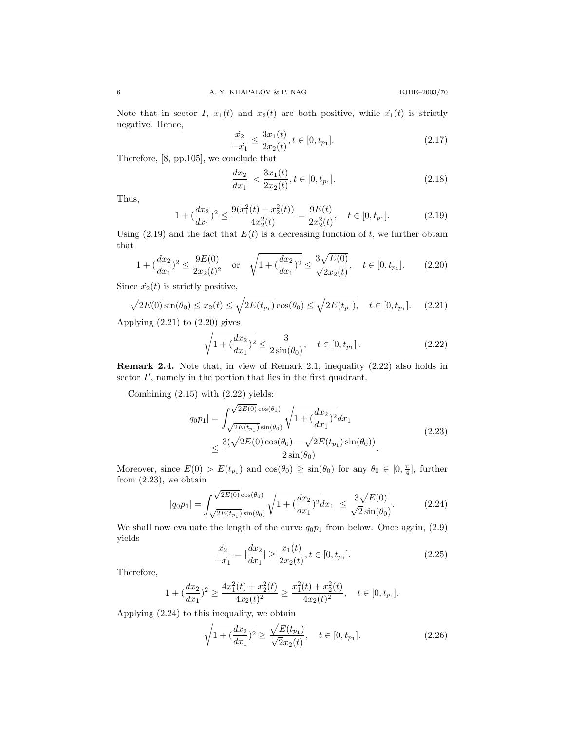Note that in sector I,  $x_1(t)$  and  $x_2(t)$  are both positive, while  $\dot{x_1}(t)$  is strictly negative. Hence,

$$
\frac{\dot{x}_2}{-\dot{x}_1} \le \frac{3x_1(t)}{2x_2(t)}, t \in [0, t_{p_1}].
$$
\n(2.17)

Therefore, [8, pp.105], we conclude that

$$
\left|\frac{dx_2}{dx_1}\right| < \frac{3x_1(t)}{2x_2(t)}, t \in [0, t_{p_1}].\tag{2.18}
$$

Thus,

$$
1 + (\frac{dx_2}{dx_1})^2 \le \frac{9(x_1^2(t) + x_2^2(t))}{4x_2^2(t)} = \frac{9E(t)}{2x_2^2(t)}, \quad t \in [0, t_{p_1}].
$$
 (2.19)

Using (2.19) and the fact that  $E(t)$  is a decreasing function of t, we further obtain that

$$
1 + (\frac{dx_2}{dx_1})^2 \le \frac{9E(0)}{2x_2(t)^2} \quad \text{or} \quad \sqrt{1 + (\frac{dx_2}{dx_1})^2} \le \frac{3\sqrt{E(0)}}{\sqrt{2}x_2(t)}, \quad t \in [0, t_{p_1}]. \tag{2.20}
$$

Since  $\dot{x}_2(t)$  is strictly positive,

$$
\sqrt{2E(0)}\sin(\theta_0) \le x_2(t) \le \sqrt{2E(t_{p_1})}\cos(\theta_0) \le \sqrt{2E(t_{p_1})}, \quad t \in [0, t_{p_1}]. \tag{2.21}
$$

Applying  $(2.21)$  to  $(2.20)$  gives

$$
\sqrt{1 + (\frac{dx_2}{dx_1})^2} \le \frac{3}{2\sin(\theta_0)}, \quad t \in [0, t_{p_1}].
$$
\n(2.22)

Remark 2.4. Note that, in view of Remark 2.1, inequality (2.22) also holds in sector  $I'$ , namely in the portion that lies in the first quadrant.

Combining (2.15) with (2.22) yields:

$$
|q_0 p_1| = \int_{\sqrt{2E(t_{p_1})} \sin(\theta_0)}^{\sqrt{2E(0)} \cos(\theta_0)} \sqrt{1 + (\frac{dx_2}{dx_1})^2} dx_1
$$
  
 
$$
\leq \frac{3(\sqrt{2E(0)} \cos(\theta_0) - \sqrt{2E(t_{p_1})} \sin(\theta_0))}{2 \sin(\theta_0)}.
$$
 (2.23)

Moreover, since  $E(0) > E(t_{p_1})$  and  $cos(\theta_0) \geq sin(\theta_0)$  for any  $\theta_0 \in [0, \frac{\pi}{4}]$ , further from (2.23), we obtain

$$
|q_0 p_1| = \int_{\sqrt{2E(t_{p_1})} \sin(\theta_0)}^{\sqrt{2E(0)} \cos(\theta_0)} \sqrt{1 + (\frac{dx_2}{dx_1})^2} dx_1 \le \frac{3\sqrt{E(0)}}{\sqrt{2}\sin(\theta_0)}.
$$
 (2.24)

We shall now evaluate the length of the curve  $q_0p_1$  from below. Once again,  $(2.9)$ yields

$$
\frac{\dot{x_2}}{-\dot{x_1}} = |\frac{dx_2}{dx_1}| \ge \frac{x_1(t)}{2x_2(t)}, t \in [0, t_{p_1}].
$$
\n(2.25)

Therefore,

$$
1 + (\frac{dx_2}{dx_1})^2 \ge \frac{4x_1^2(t) + x_2^2(t)}{4x_2(t)^2} \ge \frac{x_1^2(t) + x_2^2(t)}{4x_2(t)^2}, \quad t \in [0, t_{p_1}].
$$

Applying (2.24) to this inequality, we obtain

$$
\sqrt{1 + (\frac{dx_2}{dx_1})^2} \ge \frac{\sqrt{E(t_{p_1})}}{\sqrt{2}x_2(t)}, \quad t \in [0, t_{p_1}].
$$
\n(2.26)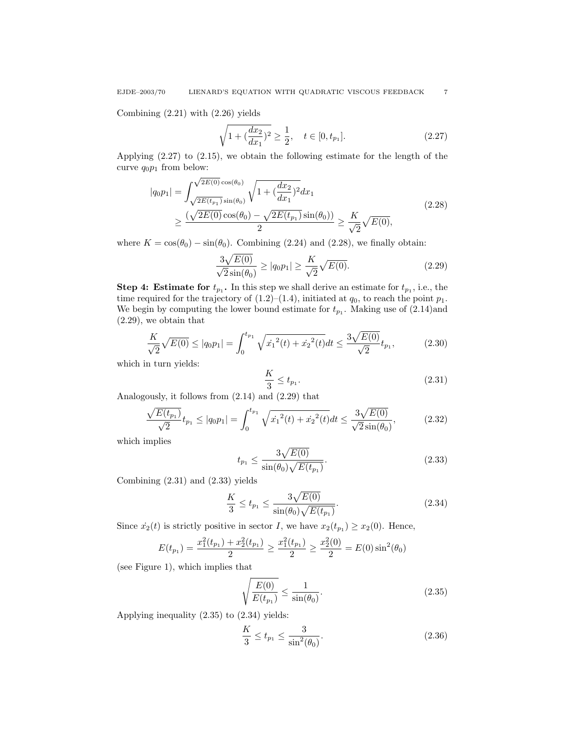Combining (2.21) with (2.26) yields

$$
\sqrt{1 + (\frac{dx_2}{dx_1})^2} \ge \frac{1}{2}, \quad t \in [0, t_{p_1}].
$$
\n(2.27)

Applying (2.27) to (2.15), we obtain the following estimate for the length of the curve  $q_0p_1$  from below:

$$
|q_0 p_1| = \int_{\sqrt{2E(t_{p_1})} \sin(\theta_0)}^{\sqrt{2E(t_0)} \cos(\theta_0)} \sqrt{1 + (\frac{dx_2}{dx_1})^2} dx_1
$$
  
 
$$
\geq \frac{(\sqrt{2E(0)} \cos(\theta_0) - \sqrt{2E(t_{p_1})} \sin(\theta_0))}{2} \geq \frac{K}{\sqrt{2}} \sqrt{E(0)},
$$
 (2.28)

where  $K = \cos(\theta_0) - \sin(\theta_0)$ . Combining (2.24) and (2.28), we finally obtain:

$$
\frac{3\sqrt{E(0)}}{\sqrt{2}\sin(\theta_0)} \ge |q_0 p_1| \ge \frac{K}{\sqrt{2}}\sqrt{E(0)}.
$$
\n(2.29)

**Step 4: Estimate for**  $t_{p_1}$ **.** In this step we shall derive an estimate for  $t_{p_1}$ , i.e., the time required for the trajectory of  $(1.2)$ – $(1.4)$ , initiated at  $q_0$ , to reach the point  $p_1$ . We begin by computing the lower bound estimate for  $t_{p_1}$ . Making use of  $(2.14)$  and (2.29), we obtain that

$$
\frac{K}{\sqrt{2}}\sqrt{E(0)} \le |q_0 p_1| = \int_0^{t_{p_1}} \sqrt{\dot{x}_1^2(t) + \dot{x}_2^2(t)}dt \le \frac{3\sqrt{E(0)}}{\sqrt{2}}t_{p_1},\tag{2.30}
$$

which in turn yields:

$$
\frac{K}{3} \le t_{p_1}.\tag{2.31}
$$

Analogously, it follows from (2.14) and (2.29) that

$$
\frac{\sqrt{E(t_{p_1})}}{\sqrt{2}}t_{p_1} \le |q_0 p_1| = \int_0^{t_{p_1}} \sqrt{\dot{x}_1^2(t) + \dot{x}_2^2(t)}dt \le \frac{3\sqrt{E(0)}}{\sqrt{2}\sin(\theta_0)},
$$
\n(2.32)

which implies

$$
t_{p_1} \le \frac{3\sqrt{E(0)}}{\sin(\theta_0)\sqrt{E(t_{p_1})}}.\t(2.33)
$$

Combining (2.31) and (2.33) yields

$$
\frac{K}{3} \le t_{p_1} \le \frac{3\sqrt{E(0)}}{\sin(\theta_0)\sqrt{E(t_{p_1})}}.\tag{2.34}
$$

Since  $\dot{x}_2(t)$  is strictly positive in sector I, we have  $x_2(t_{p_1}) \ge x_2(0)$ . Hence,

$$
E(t_{p_1}) = \frac{x_1^2(t_{p_1}) + x_2^2(t_{p_1})}{2} \ge \frac{x_1^2(t_{p_1})}{2} \ge \frac{x_2^2(0)}{2} = E(0)\sin^2(\theta_0)
$$

(see Figure 1), which implies that

$$
\sqrt{\frac{E(0)}{E(t_{p_1})}} \le \frac{1}{\sin(\theta_0)}.\tag{2.35}
$$

Applying inequality (2.35) to (2.34) yields:

$$
\frac{K}{3} \le t_{p_1} \le \frac{3}{\sin^2(\theta_0)}.\tag{2.36}
$$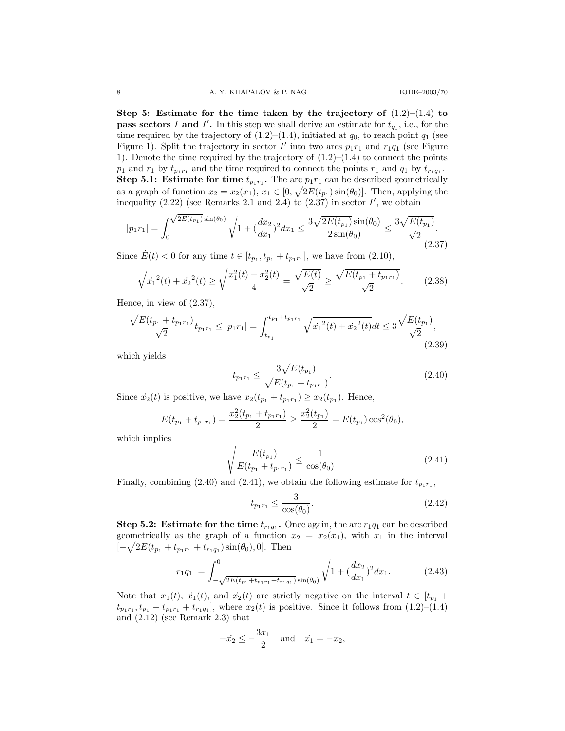Step 5: Estimate for the time taken by the trajectory of  $(1.2)$ – $(1.4)$  to **pass sectors I and I'.** In this step we shall derive an estimate for  $t_{q_1}$ , i.e., for the time required by the trajectory of  $(1.2)$ – $(1.4)$ , initiated at  $q_0$ , to reach point  $q_1$  (see Figure 1). Split the trajectory in sector  $I'$  into two arcs  $p_1r_1$  and  $r_1q_1$  (see Figure 1). Denote the time required by the trajectory of  $(1.2)$ – $(1.4)$  to connect the points  $p_1$  and  $r_1$  by  $t_{p_1r_1}$  and the time required to connect the points  $r_1$  and  $q_1$  by  $t_{r_1q_1}$ . **Step 5.1:** Estimate for time  $t_{p_1r_1}$ . The arc  $p_1r_1$  can be described geometrically as a graph of function  $x_2 = x_2(x_1), x_1 \in [0, \sqrt{2E(t_{p_1})}\sin(\theta_0)].$  Then, applying the inequality  $(2.22)$  (see Remarks 2.1 and 2.4) to  $(2.37)$  in sector  $I'$ , we obtain

$$
|p_1r_1| = \int_0^{\sqrt{2E(t_{p_1})}\sin(\theta_0)} \sqrt{1 + (\frac{dx_2}{dx_1})^2} dx_1 \le \frac{3\sqrt{2E(t_{p_1})}\sin(\theta_0)}{2\sin(\theta_0)} \le \frac{3\sqrt{E(t_{p_1})}}{\sqrt{2}}.
$$
\n(2.37)

Since  $\dot{E}(t) < 0$  for any time  $t \in [t_{p_1}, t_{p_1} + t_{p_1r_1}]$ , we have from (2.10),

$$
\sqrt{\dot{x}_1^2(t) + \dot{x}_2^2(t)} \ge \sqrt{\frac{x_1^2(t) + x_2^2(t)}{4}} = \frac{\sqrt{E(t)}}{\sqrt{2}} \ge \frac{\sqrt{E(t_{p_1} + t_{p_1 r_1})}}{\sqrt{2}}.
$$
 (2.38)

Hence, in view of (2.37),

$$
\frac{\sqrt{E(t_{p_1} + t_{p_1r_1})}}{\sqrt{2}} t_{p_1r_1} \le |p_1r_1| = \int_{t_{p_1}}^{t_{p_1} + t_{p_1r_1}} \sqrt{{x_1}^2(t) + {x_2}^2(t)} dt \le 3\frac{\sqrt{E(t_{p_1})}}{\sqrt{2}},\tag{2.39}
$$

which yields

$$
t_{p_1r_1} \le \frac{3\sqrt{E(t_{p_1})}}{\sqrt{E(t_{p_1} + t_{p_1r_1})}}.\t(2.40)
$$

Since  $\dot{x}_2(t)$  is positive, we have  $x_2(t_{p_1} + t_{p_1r_1}) \ge x_2(t_{p_1})$ . Hence,

$$
E(t_{p_1} + t_{p_1r_1}) = \frac{x_2^2(t_{p_1} + t_{p_1r_1})}{2} \ge \frac{x_2^2(t_{p_1})}{2} = E(t_{p_1}) \cos^2(\theta_0),
$$

which implies

$$
\sqrt{\frac{E(t_{p_1})}{E(t_{p_1} + t_{p_1 r_1})}} \le \frac{1}{\cos(\theta_0)}.
$$
\n(2.41)

Finally, combining (2.40) and (2.41), we obtain the following estimate for  $t_{p_1r_1}$ ,

$$
t_{p_1r_1} \le \frac{3}{\cos(\theta_0)}.\t(2.42)
$$

**Step 5.2:** Estimate for the time  $t_{r_1q_1}$ . Once again, the arc  $r_1q_1$  can be described geometrically as the graph of a function  $x_2 = x_2(x_1)$ , with  $x_1$  in the interval  $[-\sqrt{2E(t_{p_1}+t_{p_1r_1}+t_{r_1q_1})}\sin(\theta_0),0]$ . Then

$$
|r_1 q_1| = \int_{-\sqrt{2E(t_{p_1} + t_{p_1 r_1} + t_{r_1 q_1})} \sin(\theta_0)}^0 \sqrt{1 + (\frac{dx_2}{dx_1})^2} dx_1.
$$
 (2.43)

Note that  $x_1(t)$ ,  $\dot{x_1}(t)$ , and  $\dot{x_2}(t)$  are strictly negative on the interval  $t \in [t_{p_1} +$  $t_{p_1r_1}, t_{p_1} + t_{p_1r_1} + t_{r_1q_1}$ , where  $x_2(t)$  is positive. Since it follows from  $(1.2)$ – $(1.4)$ and (2.12) (see Remark 2.3) that

$$
-x_2 \le -\frac{3x_1}{2} \quad \text{and} \quad x_1 = -x_2,
$$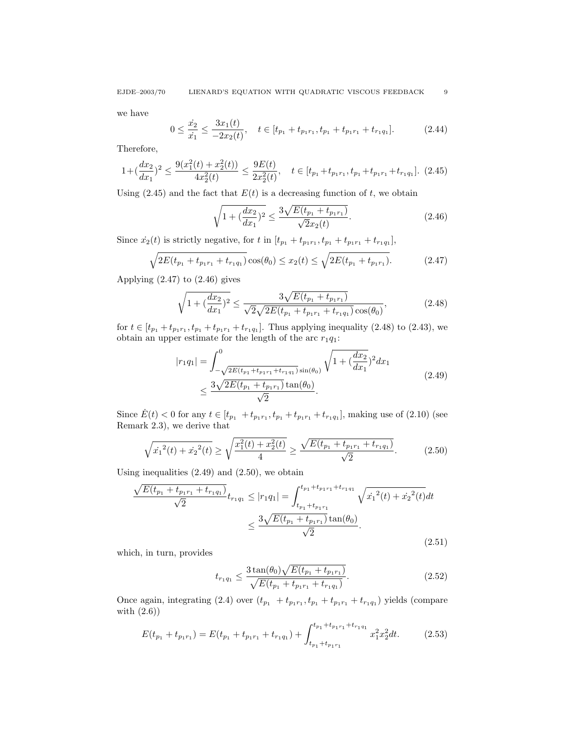we have

$$
0 \le \frac{\dot{x}_2}{\dot{x}_1} \le \frac{3x_1(t)}{-2x_2(t)}, \quad t \in [t_{p_1} + t_{p_1r_1}, t_{p_1} + t_{p_1r_1} + t_{r_1q_1}].\tag{2.44}
$$

Therefore,

$$
1 + (\frac{dx_2}{dx_1})^2 \le \frac{9(x_1^2(t) + x_2^2(t))}{4x_2^2(t)} \le \frac{9E(t)}{2x_2^2(t)}, \quad t \in [t_{p_1} + t_{p_1r_1}, t_{p_1} + t_{p_1r_1} + t_{r_1q_1}]. \tag{2.45}
$$

Using (2.45) and the fact that  $E(t)$  is a decreasing function of t, we obtain

$$
\sqrt{1 + (\frac{dx_2}{dx_1})^2} \le \frac{3\sqrt{E(t_{p_1} + t_{p_1r_1})}}{\sqrt{2}x_2(t)}.
$$
\n(2.46)

Since  $\dot{x_2}(t)$  is strictly negative, for t in  $[t_{p_1} + t_{p_1r_1}, t_{p_1} + t_{p_1r_1} + t_{r_1q_1}],$ 

$$
\sqrt{2E(t_{p_1} + t_{p_1r_1} + t_{r_1q_1})} \cos(\theta_0) \le x_2(t) \le \sqrt{2E(t_{p_1} + t_{p_1r_1})}.
$$
 (2.47)

Applying  $(2.47)$  to  $(2.46)$  gives

$$
\sqrt{1 + (\frac{dx_2}{dx_1})^2} \le \frac{3\sqrt{E(t_{p_1} + t_{p_1r_1})}}{\sqrt{2}\sqrt{2E(t_{p_1} + t_{p_1r_1} + t_{r_1q_1})}\cos(\theta_0)},
$$
\n(2.48)

for  $t \in [t_{p_1} + t_{p_1r_1}, t_{p_1} + t_{p_1r_1} + t_{r_1q_1}]$ . Thus applying inequality (2.48) to (2.43), we obtain an upper estimate for the length of the arc  $r_1q_1$ :

$$
|r_1 q_1| = \int_{-\sqrt{2E(t_{p_1} + t_{p_1 r_1} + t_{r_1 q_1})} \sin(\theta_0)}^0 \sqrt{1 + (\frac{dx_2}{dx_1})^2} dx_1
$$
  
 
$$
\leq \frac{3\sqrt{2E(t_{p_1} + t_{p_1 r_1})} \tan(\theta_0)}{\sqrt{2}}.
$$
 (2.49)

Since  $\dot{E}(t) < 0$  for any  $t \in [t_{p_1} + t_{p_1r_1}, t_{p_1} + t_{p_1r_1} + t_{r_1q_1}]$ , making use of  $(2.10)$  (see Remark 2.3), we derive that

$$
\sqrt{\dot{x}_1^2(t) + \dot{x}_2^2(t)} \ge \sqrt{\frac{x_1^2(t) + x_2^2(t)}{4}} \ge \frac{\sqrt{E(t_{p_1} + t_{p_1 r_1} + t_{r_1 q_1})}}{\sqrt{2}}.\tag{2.50}
$$

Using inequalities  $(2.49)$  and  $(2.50)$ , we obtain

$$
\frac{\sqrt{E(t_{p_1} + t_{p_1r_1} + t_{r_1q_1})}}{\sqrt{2}} t_{r_1q_1} \le |r_1q_1| = \int_{t_{p_1} + t_{p_1r_1}}^{t_{p_1} + t_{p_1r_1} + t_{r_1q_1}} \sqrt{x_1^2(t) + x_2^2(t)} dt
$$

$$
\le \frac{3\sqrt{E(t_{p_1} + t_{p_1r_1})}\tan(\theta_0)}{\sqrt{2}}.
$$
\n(2.51)

which, in turn, provides

$$
t_{r_1q_1} \le \frac{3\tan(\theta_0)\sqrt{E(t_{p_1} + t_{p_1r_1})}}{\sqrt{E(t_{p_1} + t_{p_1r_1} + t_{r_1q_1})}}.\tag{2.52}
$$

Once again, integrating (2.4) over  $(t_{p_1} + t_{p_1r_1}, t_{p_1} + t_{p_1r_1} + t_{r_1q_1})$  yields (compare with (2.6))

$$
E(t_{p_1} + t_{p_1r_1}) = E(t_{p_1} + t_{p_1r_1} + t_{r_1q_1}) + \int_{t_{p_1} + t_{p_1r_1}}^{t_{p_1} + t_{p_1r_1} + t_{r_1q_1}} x_1^2 x_2^2 dt.
$$
 (2.53)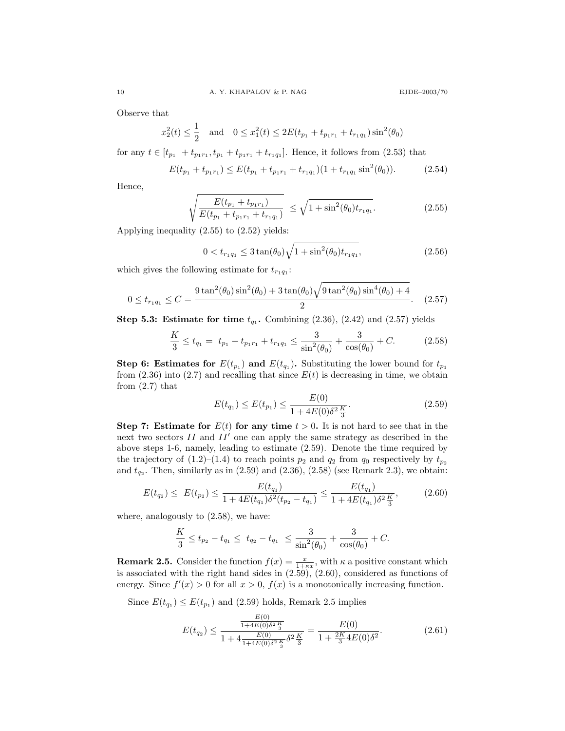Observe that

$$
x_2^2(t) \le \frac{1}{2}
$$
 and  $0 \le x_1^2(t) \le 2E(t_{p_1} + t_{p_1r_1} + t_{r_1q_1})\sin^2(\theta_0)$ 

for any  $t \in [t_{p_1} + t_{p_1r_1}, t_{p_1} + t_{p_1r_1} + t_{r_1q_1}]$ . Hence, it follows from (2.53) that

$$
E(t_{p_1} + t_{p_1r_1}) \le E(t_{p_1} + t_{p_1r_1} + t_{r_1q_1})(1 + t_{r_1q_1}\sin^2(\theta_0)).
$$
 (2.54)

Hence,

$$
\sqrt{\frac{E(t_{p_1} + t_{p_1 r_1})}{E(t_{p_1} + t_{p_1 r_1} + t_{r_1 q_1})}} \le \sqrt{1 + \sin^2(\theta_0) t_{r_1 q_1}}.
$$
\n(2.55)

Applying inequality (2.55) to (2.52) yields:

$$
0 < t_{r_1 q_1} \le 3 \tan(\theta_0) \sqrt{1 + \sin^2(\theta_0) t_{r_1 q_1}}, \tag{2.56}
$$

which gives the following estimate for  $t_{r_1q_1}$ :

$$
0 \le t_{r_1 q_1} \le C = \frac{9 \tan^2(\theta_0) \sin^2(\theta_0) + 3 \tan(\theta_0) \sqrt{9 \tan^2(\theta_0) \sin^4(\theta_0) + 4}}{2}.
$$
 (2.57)

**Step 5.3: Estimate for time**  $t_{q_1}$ . Combining  $(2.36)$ ,  $(2.42)$  and  $(2.57)$  yields

$$
\frac{K}{3} \le t_{q_1} = t_{p_1} + t_{p_1 r_1} + t_{r_1 q_1} \le \frac{3}{\sin^2(\theta_0)} + \frac{3}{\cos(\theta_0)} + C.
$$
 (2.58)

**Step 6: Estimates for**  $E(t_{p_1})$  and  $E(t_{q_1})$ . Substituting the lower bound for  $t_{p_1}$ from  $(2.36)$  into  $(2.7)$  and recalling that since  $E(t)$  is decreasing in time, we obtain from  $(2.7)$  that

$$
E(t_{q_1}) \le E(t_{p_1}) \le \frac{E(0)}{1 + 4E(0)\delta^2 \frac{K}{3}}.\tag{2.59}
$$

Step 7: Estimate for  $E(t)$  for any time  $t > 0$ . It is not hard to see that in the next two sectors  $II$  and  $II'$  one can apply the same strategy as described in the above steps 1-6, namely, leading to estimate (2.59). Denote the time required by the trajectory of  $(1.2)$ – $(1.4)$  to reach points  $p_2$  and  $q_2$  from  $q_0$  respectively by  $t_{p_2}$ and  $t_{q_2}$ . Then, similarly as in  $(2.59)$  and  $(2.36)$ ,  $(2.58)$  (see Remark 2.3), we obtain:

$$
E(t_{q_2}) \le E(t_{p_2}) \le \frac{E(t_{q_1})}{1 + 4E(t_{q_1})\delta^2(t_{p_2} - t_{q_1})} \le \frac{E(t_{q_1})}{1 + 4E(t_{q_1})\delta^2 \frac{K}{3}},\tag{2.60}
$$

where, analogously to (2.58), we have:

$$
\frac{K}{3} \le t_{p_2} - t_{q_1} \le t_{q_2} - t_{q_1} \le \frac{3}{\sin^2(\theta_0)} + \frac{3}{\cos(\theta_0)} + C.
$$

**Remark 2.5.** Consider the function  $f(x) = \frac{x}{1+\kappa x}$ , with  $\kappa$  a positive constant which is associated with the right hand sides in  $(2.59)$ ,  $(2.60)$ , considered as functions of energy. Since  $f'(x) > 0$  for all  $x > 0$ ,  $f(x)$  is a monotonically increasing function.

Since  $E(t_{q_1}) \leq E(t_{p_1})$  and (2.59) holds, Remark 2.5 implies

$$
E(t_{q_2}) \le \frac{\frac{E(0)}{1 + 4E(0)\delta^2 \frac{K}{3}}}{1 + 4\frac{E(0)}{1 + 4E(0)\delta^2 \frac{K}{3}}\delta^2 \frac{K}{3}} = \frac{E(0)}{1 + \frac{2K}{3}4E(0)\delta^2}.
$$
\n(2.61)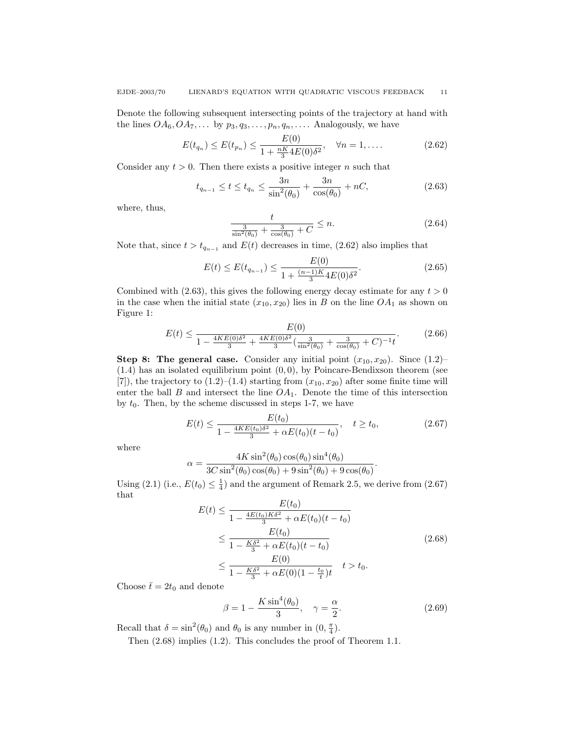Denote the following subsequent intersecting points of the trajectory at hand with the lines  $OA_6, OA_7, \ldots$  by  $p_3, q_3, \ldots, p_n, q_n, \ldots$ . Analogously, we have

$$
E(t_{q_n}) \le E(t_{p_n}) \le \frac{E(0)}{1 + \frac{nK}{3}4E(0)\delta^2}, \quad \forall n = 1, .... \tag{2.62}
$$

Consider any  $t > 0$ . Then there exists a positive integer n such that

$$
t_{q_{n-1}} \le t \le t_{q_n} \le \frac{3n}{\sin^2(\theta_0)} + \frac{3n}{\cos(\theta_0)} + nC,\tag{2.63}
$$

where, thus,

$$
\frac{t}{\sin^2(\theta_0)} + \frac{3}{\cos(\theta_0)} + C \le n.
$$
 (2.64)

Note that, since  $t > t_{q_{n-1}}$  and  $E(t)$  decreases in time, (2.62) also implies that

$$
E(t) \le E(t_{q_{n-1}}) \le \frac{E(0)}{1 + \frac{(n-1)K}{3}4E(0)\delta^2}.
$$
\n(2.65)

Combined with (2.63), this gives the following energy decay estimate for any  $t > 0$ in the case when the initial state  $(x_{10}, x_{20})$  lies in B on the line  $OA_1$  as shown on Figure 1:

$$
E(t) \le \frac{E(0)}{1 - \frac{4KE(0)\delta^2}{3} + \frac{4KE(0)\delta^2}{3} \left(\frac{3}{\sin^2(\theta_0)} + \frac{3}{\cos(\theta_0)} + C\right)^{-1}t}.
$$
(2.66)

**Step 8: The general case.** Consider any initial point  $(x_{10}, x_{20})$ . Since  $(1.2)$ –  $(1.4)$  has an isolated equilibrium point  $(0, 0)$ , by Poincare-Bendixson theorem (see [7]), the trajectory to  $(1.2)$ – $(1.4)$  starting from  $(x_{10}, x_{20})$  after some finite time will enter the ball  $B$  and intersect the line  $OA<sub>1</sub>$ . Denote the time of this intersection by  $t_0$ . Then, by the scheme discussed in steps 1-7, we have

$$
E(t) \le \frac{E(t_0)}{1 - \frac{4KE(t_0)\delta^2}{3} + \alpha E(t_0)(t - t_0)}, \quad t \ge t_0,
$$
\n(2.67)

where

$$
\alpha = \frac{4K \sin^2(\theta_0) \cos(\theta_0) \sin^4(\theta_0)}{3C \sin^2(\theta_0) \cos(\theta_0) + 9 \sin^2(\theta_0) + 9 \cos(\theta_0)}.
$$

Using (2.1) (i.e.,  $E(t_0) \leq \frac{1}{4}$ ) and the argument of Remark 2.5, we derive from (2.67) that

$$
E(t) \leq \frac{E(t_0)}{1 - \frac{4E(t_0)K\delta^2}{3} + \alpha E(t_0)(t - t_0)}
$$
  
\n
$$
\leq \frac{E(t_0)}{1 - \frac{K\delta^2}{3} + \alpha E(t_0)(t - t_0)}
$$
  
\n
$$
\leq \frac{E(0)}{1 - \frac{K\delta^2}{3} + \alpha E(0)(1 - \frac{t_0}{t})t} \quad t > t_0.
$$
\n(2.68)

Choose  $\bar{t} = 2t_0$  and denote

$$
\beta = 1 - \frac{K \sin^4(\theta_0)}{3}, \quad \gamma = \frac{\alpha}{2}.
$$
 (2.69)

Recall that  $\delta = \sin^2(\theta_0)$  and  $\theta_0$  is any number in  $(0, \frac{\pi}{4})$ .

Then (2.68) implies (1.2). This concludes the proof of Theorem 1.1.